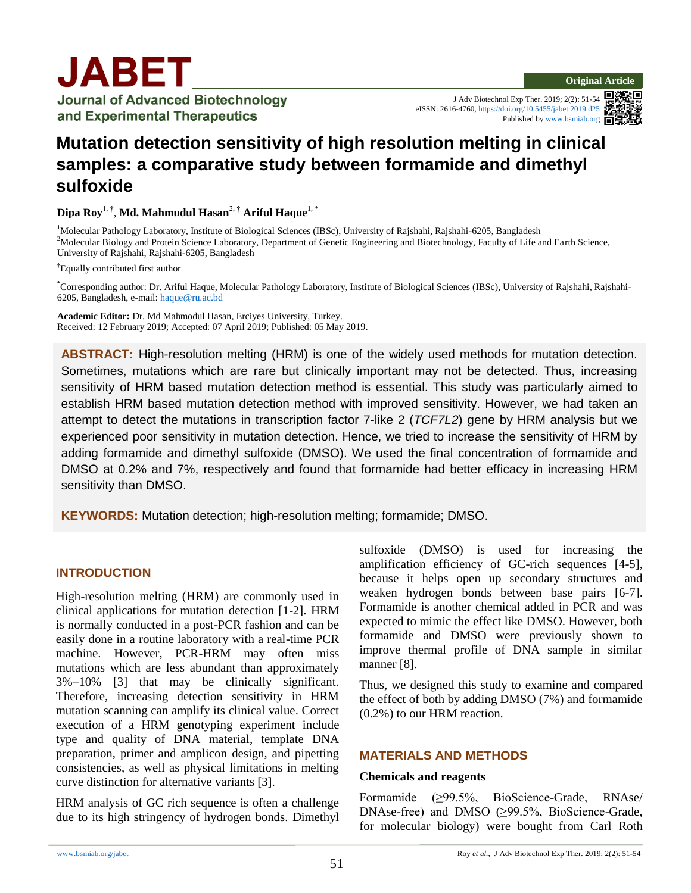J Adv Biotechnol Exp Ther. 2019; 2(2): 51-54 eISSN: 2616-4760, <https://doi.org/10.5455/jabet.2019.d25> Published b[y www.bsmiab.org](http://www.bsmiab.org/)



# **Mutation detection sensitivity of high resolution melting in clinical samples: a comparative study between formamide and dimethyl sulfoxide**

**Dipa Roy**1, † , **Md. Mahmudul Hasan**2, † **Ariful Haque**1, \*

<sup>1</sup>Molecular Pathology Laboratory, Institute of Biological Sciences (IBSc), University of Rajshahi, Rajshahi-6205, Bangladesh <sup>2</sup>Molecular Biology and Protein Science Laboratory, Department of Genetic Engineering and Biotechnology, Faculty of Life and Earth Science, University of Rajshahi, Rajshahi-6205, Bangladesh

**†** Equally contributed first author

**\***Corresponding author: Dr. Ariful Haque, Molecular Pathology Laboratory, Institute of Biological Sciences (IBSc), University of Rajshahi, Rajshahi-6205, Bangladesh, e-mail[: haque@ru.ac.bd](mailto:haque@ru.ac.bd)

**Academic Editor:** Dr. Md Mahmodul Hasan, Erciyes University, Turkey. Received: 12 February 2019; Accepted: 07 April 2019; Published: 05 May 2019.

**ABSTRACT:** High-resolution melting (HRM) is one of the widely used methods for mutation detection. Sometimes, mutations which are rare but clinically important may not be detected. Thus, increasing sensitivity of HRM based mutation detection method is essential. This study was particularly aimed to establish HRM based mutation detection method with improved sensitivity. However, we had taken an attempt to detect the mutations in transcription factor 7-like 2 (*TCF7L2*) gene by HRM analysis but we experienced poor sensitivity in mutation detection. Hence, we tried to increase the sensitivity of HRM by adding formamide and dimethyl sulfoxide (DMSO). We used the final concentration of formamide and DMSO at 0.2% and 7%, respectively and found that formamide had better efficacy in increasing HRM sensitivity than DMSO.

**KEYWORDS:** Mutation detection; high-resolution melting; formamide; DMSO.

# **INTRODUCTION**

High-resolution melting (HRM) are commonly used in clinical applications for mutation detection [1-2]. HRM is normally conducted in a post-PCR fashion and can be easily done in a routine laboratory with a real-time PCR machine. However, PCR-HRM may often miss mutations which are less abundant than approximately 3%–10% [3] that may be clinically significant. Therefore, increasing detection sensitivity in HRM mutation scanning can amplify its clinical value. Correct execution of a HRM genotyping experiment include type and quality of DNA material, template DNA preparation, primer and amplicon design, and pipetting consistencies, as well as physical limitations in melting curve distinction for alternative variants [3].

HRM analysis of GC rich sequence is often a challenge due to its high stringency of hydrogen bonds. Dimethyl sulfoxide (DMSO) is used for increasing the amplification efficiency of GC-rich sequences [4-5], because it helps open up secondary structures and weaken hydrogen bonds between base pairs [6-7]. Formamide is another chemical added in PCR and was expected to mimic the effect like DMSO. However, both formamide and DMSO were previously shown to improve thermal profile of DNA sample in similar manner [8].

Thus, we designed this study to examine and compared the effect of both by adding DMSO (7%) and formamide (0.2%) to our HRM reaction.

# **MATERIALS AND METHODS**

#### **Chemicals and reagents**

Formamide (≥99.5%, BioScience-Grade, RNAse/ DNAse-free) and DMSO (≥99.5%, BioScience-Grade, for molecular biology) were bought from Carl Roth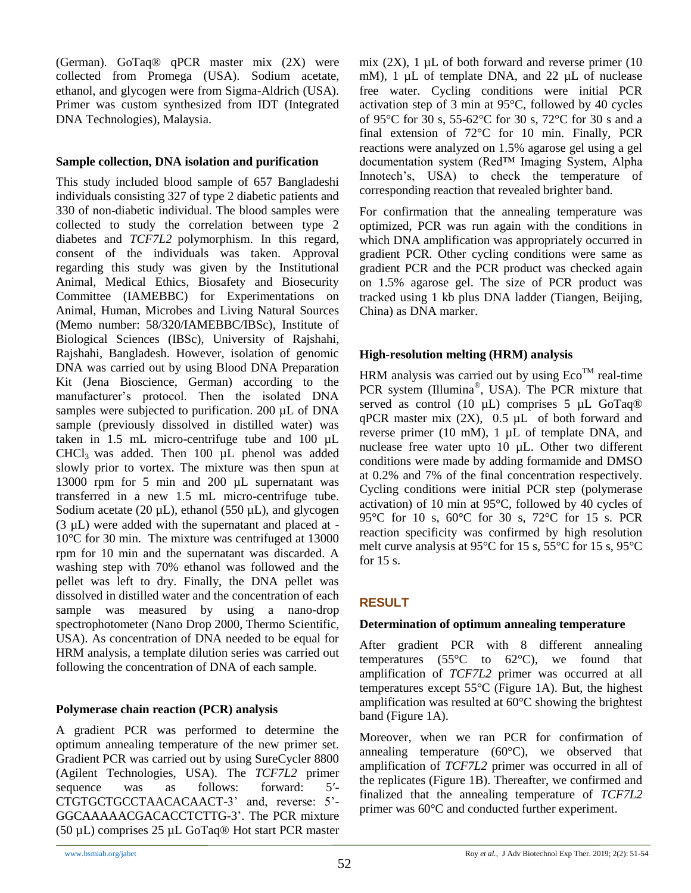(German)*.* GoTaq® qPCR master mix (2X) were collected from Promega (USA). Sodium acetate, ethanol, and glycogen were from Sigma-Aldrich (USA). Primer was custom synthesized from IDT (Integrated DNA Technologies), Malaysia.

#### **Sample collection, DNA isolation and purification**

This study included blood sample of 657 Bangladeshi individuals consisting 327 of type 2 diabetic patients and 330 of non-diabetic individual. The blood samples were collected to study the correlation between type 2 diabetes and *TCF7L2* polymorphism. In this regard, consent of the individuals was taken. Approval regarding this study was given by the Institutional Animal, Medical Ethics, Biosafety and Biosecurity Committee (IAMEBBC) for Experimentations on Animal, Human, Microbes and Living Natural Sources (Memo number: 58/320/IAMEBBC/IBSc), Institute of Biological Sciences (IBSc), University of Rajshahi, Rajshahi, Bangladesh. However, isolation of genomic DNA was carried out by using Blood DNA Preparation Kit (Jena Bioscience, German) according to the manufacturer's protocol. Then the isolated DNA samples were subjected to purification. 200 µL of DNA sample (previously dissolved in distilled water) was taken in 1.5 mL micro-centrifuge tube and 100 µL CHCl3 was added. Then 100 µL phenol was added slowly prior to vortex. The mixture was then spun at 13000 rpm for 5 min and 200 µL supernatant was transferred in a new 1.5 mL micro-centrifuge tube. Sodium acetate  $(20 \mu L)$ , ethanol  $(550 \mu L)$ , and glycogen (3 µL) were added with the supernatant and placed at - 10°C for 30 min. The mixture was centrifuged at 13000 rpm for 10 min and the supernatant was discarded. A washing step with 70% ethanol was followed and the pellet was left to dry. Finally, the DNA pellet was dissolved in distilled water and the concentration of each sample was measured by using a nano-drop spectrophotometer (Nano Drop 2000, Thermo Scientific, USA). As concentration of DNA needed to be equal for HRM analysis, a template dilution series was carried out following the concentration of DNA of each sample.

#### **Polymerase chain reaction (PCR) analysis**

A gradient PCR was performed to determine the optimum annealing temperature of the new primer set. Gradient PCR was carried out by using SureCycler 8800 (Agilent Technologies, USA). The *TCF7L2* primer sequence was as follows: forward: 5<sup>'</sup>-CTGTGCTGCCTAACACAACT-3' and, reverse: 5'- GGCAAAAACGACACCTCTTG-3'. The PCR mixture (50 µL) comprises 25 µL GoTaq® Hot start PCR master mix  $(2X)$ , 1  $\mu$ L of both forward and reverse primer (10) mM), 1  $\mu$ L of template DNA, and 22  $\mu$ L of nuclease free water. Cycling conditions were initial PCR activation step of 3 min at 95°C, followed by 40 cycles of 95°C for 30 s, 55-62°C for 30 s, 72°C for 30 s and a final extension of 72°C for 10 min. Finally, PCR reactions were analyzed on 1.5% agarose gel using a gel documentation system (Red™ Imaging System, Alpha Innotech's, USA) to check the temperature of corresponding reaction that revealed brighter band.

For confirmation that the annealing temperature was optimized, PCR was run again with the conditions in which DNA amplification was appropriately occurred in gradient PCR. Other cycling conditions were same as gradient PCR and the PCR product was checked again on 1.5% agarose gel. The size of PCR product was tracked using 1 kb plus DNA ladder (Tiangen, Beijing, China) as DNA marker.

### **High-resolution melting (HRM) analysis**

HRM analysis was carried out by using  $Eco<sup>TM</sup>$  real-time PCR system (Illumina®, USA). The PCR mixture that served as control (10  $\mu$ L) comprises 5  $\mu$ L GoTaq® qPCR master mix  $(2X)$ ,  $0.5 \mu L$  of both forward and reverse primer (10 mM), 1 µL of template DNA, and nuclease free water upto 10 µL. Other two different conditions were made by adding formamide and DMSO at 0.2% and 7% of the final concentration respectively. Cycling conditions were initial PCR step (polymerase activation) of 10 min at 95°C, followed by 40 cycles of 95°C for 10 s, 60°C for 30 s, 72°C for 15 s. PCR reaction specificity was confirmed by high resolution melt curve analysis at 95°C for 15 s, 55°C for 15 s, 95°C for 15 s.

# **RESULT**

#### **Determination of optimum annealing temperature**

After gradient PCR with 8 different annealing temperatures (55 $\degree$ C to 62 $\degree$ C), we found that amplification of *TCF7L2* primer was occurred at all temperatures except 55°C (Figure 1A). But, the highest amplification was resulted at 60°C showing the brightest band (Figure 1A).

Moreover, when we ran PCR for confirmation of annealing temperature (60°C), we observed that amplification of *TCF7L2* primer was occurred in all of the replicates (Figure 1B). Thereafter, we confirmed and finalized that the annealing temperature of *TCF7L2* primer was 60°C and conducted further experiment.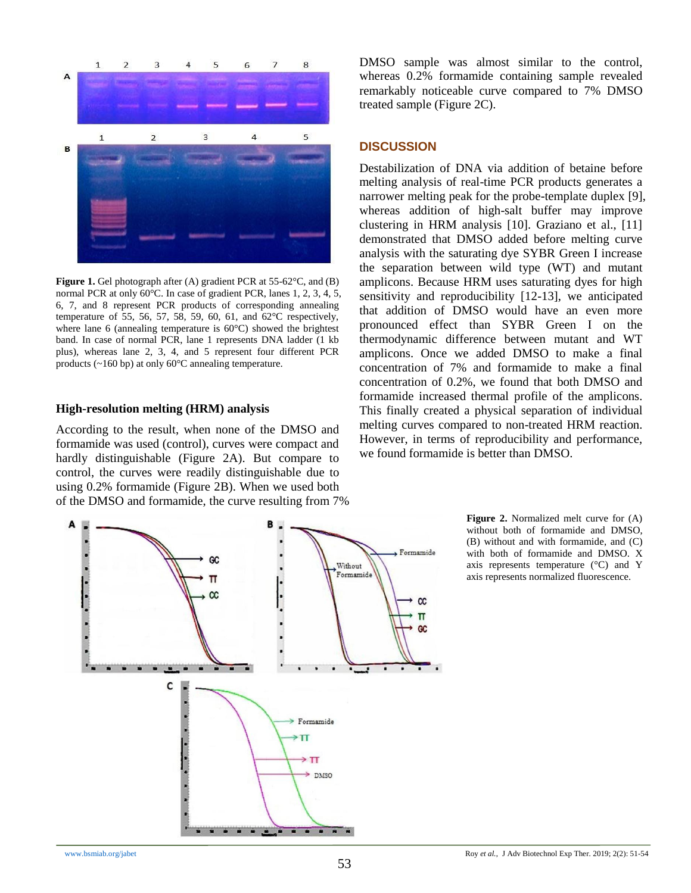

**Figure 1.** Gel photograph after (A) gradient PCR at 55-62°C, and (B) normal PCR at only 60°C. In case of gradient PCR, lanes 1, 2, 3, 4, 5, 6, 7, and 8 represent PCR products of corresponding annealing temperature of 55, 56, 57, 58, 59, 60, 61, and 62°C respectively, where lane 6 (annealing temperature is 60°C) showed the brightest band. In case of normal PCR, lane 1 represents DNA ladder (1 kb plus), whereas lane 2, 3, 4, and 5 represent four different PCR products (~160 bp) at only 60°C annealing temperature.

#### **High-resolution melting (HRM) analysis**

According to the result, when none of the DMSO and formamide was used (control), curves were compact and hardly distinguishable (Figure 2A). But compare to control, the curves were readily distinguishable due to using 0.2% formamide (Figure 2B). When we used both of the DMSO and formamide, the curve resulting from 7% DMSO sample was almost similar to the control, whereas 0.2% formamide containing sample revealed remarkably noticeable curve compared to 7% DMSO treated sample (Figure 2C).

#### **DISCUSSION**

Destabilization of DNA via addition of betaine before melting analysis of real-time PCR products generates a narrower melting peak for the probe-template duplex [9], whereas addition of high-salt buffer may improve clustering in HRM analysis [10]. Graziano et al., [11] demonstrated that DMSO added before melting curve analysis with the saturating dye SYBR Green I increase the separation between wild type (WT) and mutant amplicons. Because HRM uses saturating dyes for high sensitivity and reproducibility [12-13], we anticipated that addition of DMSO would have an even more pronounced effect than SYBR Green I on the thermodynamic difference between mutant and WT amplicons. Once we added DMSO to make a final concentration of 7% and formamide to make a final concentration of 0.2%, we found that both DMSO and formamide increased thermal profile of the amplicons. This finally created a physical separation of individual melting curves compared to non-treated HRM reaction. However, in terms of reproducibility and performance, we found formamide is better than DMSO.



**Figure 2.** Normalized melt curve for (A) without both of formamide and DMSO, (B) without and with formamide, and (C) with both of formamide and DMSO. X axis represents temperature (°C) and Y axis represents normalized fluorescence.